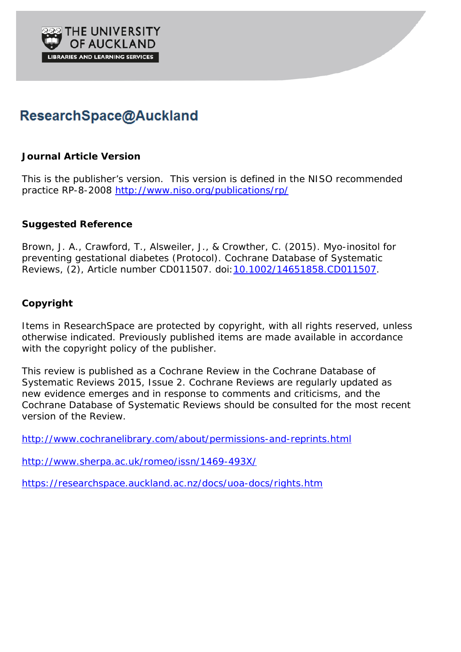

# ResearchSpace@Auckland

# **Journal Article Version**

This is the publisher's version. This version is defined in the NISO recommended practice RP-8-2008 <http://www.niso.org/publications/rp/>

## **Suggested Reference**

Brown, J. A., Crawford, T., Alsweiler, J., & Crowther, C. (2015). Myo-inositol for preventing gestational diabetes (Protocol). *Cochrane Database of Systematic Reviews*, (2), Article number CD011507. doi[:10.1002/14651858.CD011507.](http://dx.doi.org/10.1002/14651858.CD011507.)

## **Copyright**

Items in ResearchSpace are protected by copyright, with all rights reserved, unless otherwise indicated. Previously published items are made available in accordance with the copyright policy of the publisher.

This review is published as a Cochrane Review in the *Cochrane Database of Systematic Reviews* 2015, Issue 2. Cochrane Reviews are regularly updated as new evidence emerges and in response to comments and criticisms, and the *Cochrane Database of Systematic Reviews* should be consulted for the most recent version of the Review.

<http://www.cochranelibrary.com/about/permissions-and-reprints.html>

http://www.sherpa.ac.uk/romeo/issn/1469-493X/

<https://researchspace.auckland.ac.nz/docs/uoa-docs/rights.htm>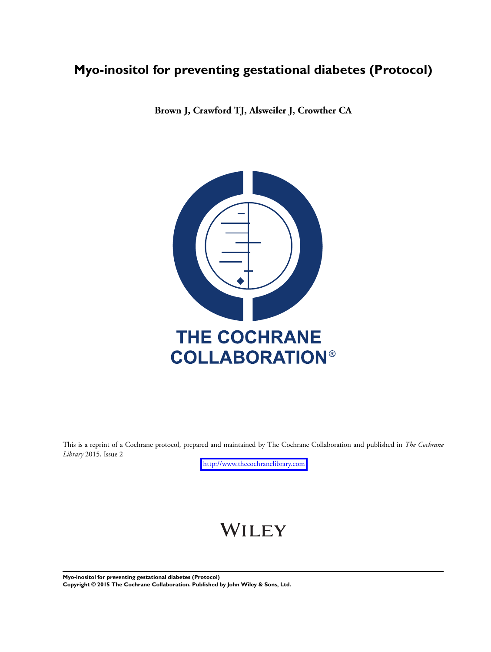# **Myo-inositol for preventing gestational diabetes (Protocol)**

**Brown J, Crawford TJ, Alsweiler J, Crowther CA**



This is a reprint of a Cochrane protocol, prepared and maintained by The Cochrane Collaboration and published in *The Cochrane Library* 2015, Issue 2

<http://www.thecochranelibrary.com>

# WILEY

**Myo-inositol for preventing gestational diabetes (Protocol) Copyright © 2015 The Cochrane Collaboration. Published by John Wiley & Sons, Ltd.**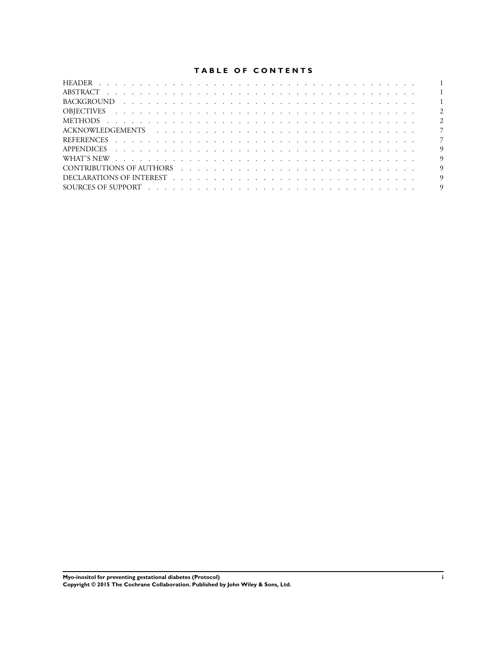## **TABLE OF CONTENTS**

|                                                                                                                                                                                                                                | $\overline{2}$ |
|--------------------------------------------------------------------------------------------------------------------------------------------------------------------------------------------------------------------------------|----------------|
|                                                                                                                                                                                                                                | $\overline{2}$ |
|                                                                                                                                                                                                                                | $\overline{7}$ |
|                                                                                                                                                                                                                                | $\overline{7}$ |
|                                                                                                                                                                                                                                | $\overline{9}$ |
| WHAT'S NEW research research and the state of the state of the state of the state of the state of the state of the state of the state of the state of the state of the state of the state of the state of the state of the sta | $\overline{9}$ |
|                                                                                                                                                                                                                                | $\overline{9}$ |
|                                                                                                                                                                                                                                | - 9            |
|                                                                                                                                                                                                                                | -9             |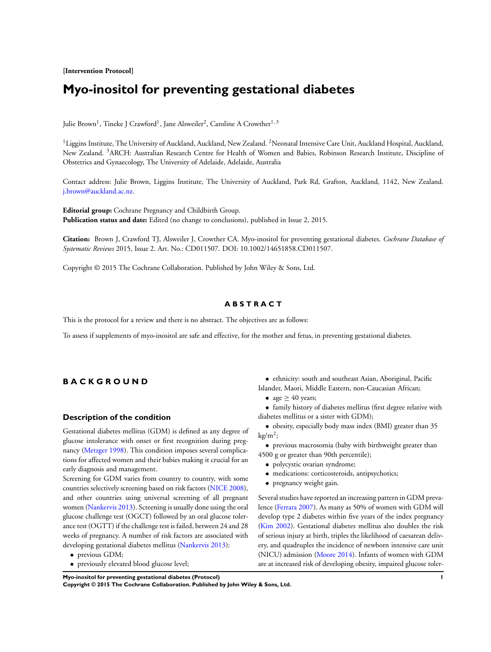<span id="page-3-0"></span>**[Intervention Protocol]**

# **Myo-inositol for preventing gestational diabetes**

Julie Brown<sup>1</sup>, Tineke J Crawford<sup>1</sup>, Jane Alsweiler<sup>2</sup>, Caroline A Crowther<sup>1,3</sup>

<sup>1</sup> Liggins Institute, The University of Auckland, Auckland, New Zealand. <sup>2</sup>Neonatal Intensive Care Unit, Auckland Hospital, Auckland, New Zealand. <sup>3</sup>ARCH: Australian Research Centre for Health of Women and Babies, Robinson Research Institute, Discipline of Obstetrics and Gynaecology, The University of Adelaide, Adelaide, Australia

Contact address: Julie Brown, Liggins Institute, The University of Auckland, Park Rd, Grafton, Auckland, 1142, New Zealand. [j.brown@auckland.ac.nz](mailto:j.brown@auckland.ac.nz).

**Editorial group:** Cochrane Pregnancy and Childbirth Group. **Publication status and date:** Edited (no change to conclusions), published in Issue 2, 2015.

**Citation:** Brown J, Crawford TJ, Alsweiler J, Crowther CA. Myo-inositol for preventing gestational diabetes. *Cochrane Database of Systematic Reviews* 2015, Issue 2. Art. No.: CD011507. DOI: 10.1002/14651858.CD011507.

Copyright © 2015 The Cochrane Collaboration. Published by John Wiley & Sons, Ltd.

#### **A B S T R A C T**

This is the protocol for a review and there is no abstract. The objectives are as follows:

To assess if supplements of myo-inositol are safe and effective, for the mother and fetus, in preventing gestational diabetes.

## **B A C K G R O U N D**

## **Description of the condition**

Gestational diabetes mellitus (GDM) is defined as any degree of glucose intolerance with onset or first recognition during pregnancy [\(Metzger 1998](#page-9-0)). This condition imposes several complications for affected women and their babies making it crucial for an early diagnosis and management.

Screening for GDM varies from country to country, with some countries selectively screening based on risk factors ([NICE 2008](#page-9-0)), and other countries using universal screening of all pregnant women [\(Nankervis 2013](#page-9-0)). Screening is usually done using the oral glucose challenge test (OGCT) followed by an oral glucose tolerance test (OGTT) if the challenge test is failed, between 24 and 28 weeks of pregnancy. A number of risk factors are associated with developing gestational diabetes mellitus [\(Nankervis 2013\)](#page-9-0):

- previous GDM;
- previously elevated blood glucose level;
- ethnicity: south and southeast Asian, Aboriginal, Pacific Islander, Maori, Middle Eastern, non-Caucasian African;
	- age  $> 40$  years;
- family history of diabetes mellitus (first degree relative with diabetes mellitus or a sister with GDM);
- obesity, especially body mass index (BMI) greater than 35  $kg/m<sup>2</sup>$ ;
- previous macrosomia (baby with birthweight greater than 4500 g or greater than 90th percentile);
	- polycystic ovarian syndrome;
	- medications: corticosteroids, antipsychotics;
	- pregnancy weight gain.

Several studies have reported an increasing pattern in GDM prevalence ([Ferrara 2007](#page-9-0)). As many as 50% of women with GDM will develop type 2 diabetes within five years of the index pregnancy [\(Kim 2002\)](#page-9-0). Gestational diabetes mellitus also doubles the risk of serious injury at birth, triples the likelihood of caesarean delivery, and quadruples the incidence of newborn intensive care unit (NICU) admission [\(Moore 2014\)](#page-9-0). Infants of women with GDM are at increased risk of developing obesity, impaired glucose toler-

**Myo-inositol for preventing gestational diabetes (Protocol) 1**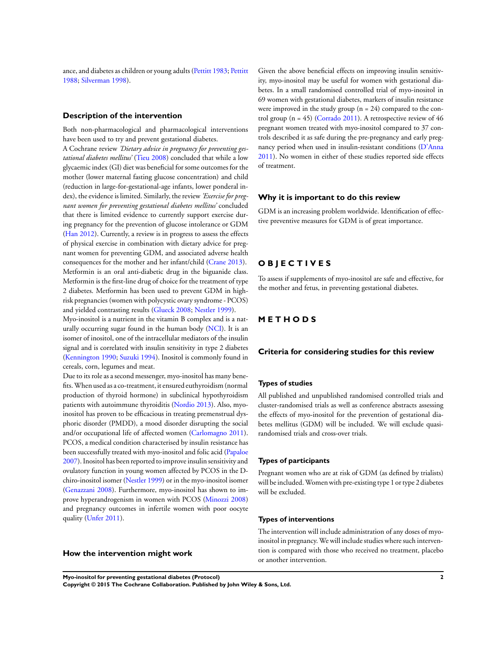ance, and diabetes as children or young adults [\(Pettitt 1983](#page-9-0); [Pettitt](#page-9-0) [1988](#page-9-0); [Silverman 1998\)](#page-9-0).

### **Description of the intervention**

Both non-pharmacological and pharmacological interventions have been used to try and prevent gestational diabetes.

A Cochrane review *'Dietary advice in pregnancy for preventing gestational diabetes mellitus'* [\(Tieu 2008\)](#page-9-0) concluded that while a low glycaemic index (GI) diet was beneficial for some outcomes for the mother (lower maternal fasting glucose concentration) and child (reduction in large-for-gestational-age infants, lower ponderal index), the evidence is limited. Similarly, the review *'Exercise for pregnant women for preventing gestational diabetes mellitus'* concluded that there is limited evidence to currently support exercise during pregnancy for the prevention of glucose intolerance or GDM [\(Han 2012\)](#page-9-0). Currently, a review is in progress to assess the effects of physical exercise in combination with dietary advice for pregnant women for preventing GDM, and associated adverse health consequences for the mother and her infant/child ([Crane 2013](#page-9-0)). Metformin is an oral anti-diabetic drug in the biguanide class. Metformin is the first-line drug of choice for the treatment of type 2 diabetes. Metformin has been used to prevent GDM in highrisk pregnancies (women with polycystic ovary syndrome - PCOS) and yielded contrasting results [\(Glueck 2008;](#page-9-0) [Nestler 1999](#page-9-0)).

Myo-inositol is a nutrient in the vitamin B complex and is a naturally occurring sugar found in the human body [\(NCI\)](#page-9-0). It is an isomer of inositol, one of the intracellular mediators of the insulin signal and is correlated with insulin sensitivity in type 2 diabetes [\(Kennington 1990](#page-9-0); [Suzuki 1994\)](#page-9-0). Inositol is commonly found in cereals, corn, legumes and meat.

Due to its role as a second messenger, myo-inositol has many benefits.When used as a co-treatment, it ensured euthyroidism (normal production of thyroid hormone) in subclinical hypothyroidism patients with autoimmune thyroiditis ([Nordio 2013](#page-9-0)). Also, myoinositol has proven to be efficacious in treating premenstrual dysphoric disorder (PMDD), a mood disorder disrupting the social and/or occupational life of affected women [\(Carlomagno 2011](#page-9-0)). PCOS, a medical condition characterised by insulin resistance has been successfully treated with myo-inositol and folic acid ([Papaloe](#page-9-0) [2007](#page-9-0)). Inositol has been reported to improve insulin sensitivity and ovulatory function in young women affected by PCOS in the Dchiro-inositol isomer [\(Nestler 1999\)](#page-9-0) or in the myo-inositol isomer [\(Genazzani 2008\)](#page-9-0). Furthermore, myo-inositol has shown to improve hyperandrogenism in women with PCOS [\(Minozzi 2008](#page-9-0)) and pregnancy outcomes in infertile women with poor oocyte quality [\(Unfer 2011\)](#page-9-0).

#### **How the intervention might work**

Given the above beneficial effects on improving insulin sensitivity, myo-inositol may be useful for women with gestational diabetes. In a small randomised controlled trial of myo-inositol in 69 women with gestational diabetes, markers of insulin resistance were improved in the study group  $(n = 24)$  compared to the control group  $(n = 45)$  [\(Corrado 2011](#page-9-0)). A retrospective review of 46 pregnant women treated with myo-inositol compared to 37 controls described it as safe during the pre-pregnancy and early pregnancy period when used in insulin-resistant conditions [\(D'Anna](#page-9-0) [2011](#page-9-0)). No women in either of these studies reported side effects of treatment.

#### **Why it is important to do this review**

GDM is an increasing problem worldwide. Identification of effective preventive measures for GDM is of great importance.

## **O B J E C T I V E S**

To assess if supplements of myo-inositol are safe and effective, for the mother and fetus, in preventing gestational diabetes.

## **M E T H O D S**

### **Criteria for considering studies for this review**

#### **Types of studies**

All published and unpublished randomised controlled trials and cluster-randomised trials as well as conference abstracts assessing the effects of myo-inositol for the prevention of gestational diabetes mellitus (GDM) will be included. We will exclude quasirandomised trials and cross-over trials.

#### **Types of participants**

Pregnant women who are at risk of GDM (as defined by trialists) will be included.Women with pre-existing type 1 or type 2 diabetes will be excluded.

#### **Types of interventions**

The intervention will include administration of any doses of myoinositol in pregnancy. We will include studies where such intervention is compared with those who received no treatment, placebo or another intervention.

**Myo-inositol for preventing gestational diabetes (Protocol) 2 Copyright © 2015 The Cochrane Collaboration. Published by John Wiley & Sons, Ltd.**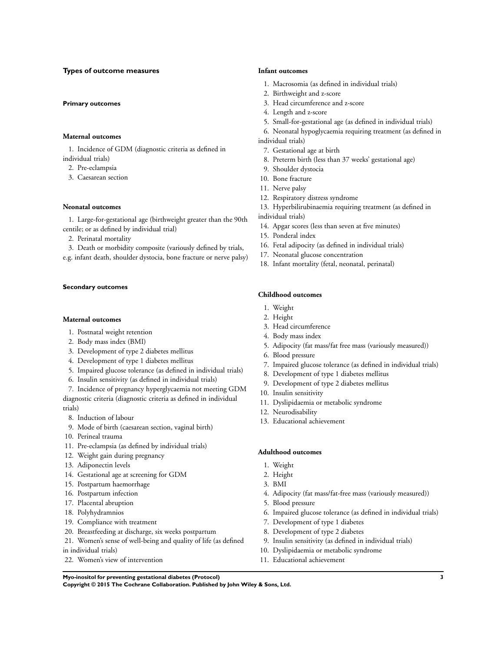#### **Types of outcome measures**

#### **Primary outcomes**

#### **Maternal outcomes**

1. Incidence of GDM (diagnostic criteria as defined in individual trials)

- 2. Pre-eclampsia
- 3. Caesarean section

#### **Neonatal outcomes**

1. Large-for-gestational age (birthweight greater than the 90th centile; or as defined by individual trial)

2. Perinatal mortality

3. Death or morbidity composite (variously defined by trials, e.g. infant death, shoulder dystocia, bone fracture or nerve palsy)

#### **Secondary outcomes**

#### **Maternal outcomes**

- 1. Postnatal weight retention
- 2. Body mass index (BMI)
- 3. Development of type 2 diabetes mellitus
- 4. Development of type 1 diabetes mellitus
- 5. Impaired glucose tolerance (as defined in individual trials)
- 6. Insulin sensitivity (as defined in individual trials)

7. Incidence of pregnancy hyperglycaemia not meeting GDM diagnostic criteria (diagnostic criteria as defined in individual trials)

- 8. Induction of labour
- 9. Mode of birth (caesarean section, vaginal birth)
- 10. Perineal trauma
- 11. Pre-eclampsia (as defined by individual trials)
- 12. Weight gain during pregnancy
- 13. Adiponectin levels
- 14. Gestational age at screening for GDM
- 15. Postpartum haemorrhage
- 16. Postpartum infection
- 17. Placental abruption
- 18. Polyhydramnios
- 19. Compliance with treatment
- 20. Breastfeeding at discharge, six weeks postpartum
- 21. Women's sense of well-being and quality of life (as defined in individual trials)
- 22. Women's view of intervention

#### **Infant outcomes**

- 1. Macrosomia (as defined in individual trials)
- 2. Birthweight and z-score
- 3. Head circumference and z-score
- 4. Length and z-score
- 5. Small-for-gestational age (as defined in individual trials)
- 6. Neonatal hypoglycaemia requiring treatment (as defined in

individual trials)

- 7. Gestational age at birth
- 8. Preterm birth (less than 37 weeks' gestational age)
- 9. Shoulder dystocia
- 10. Bone fracture
- 11. Nerve palsy
- 12. Respiratory distress syndrome
- 13. Hyperbilirubinaemia requiring treatment (as defined in individual trials)
- 14. Apgar scores (less than seven at five minutes)
- 15. Ponderal index
- 16. Fetal adipocity (as defined in individual trials)
- 17. Neonatal glucose concentration
- 18. Infant mortality (fetal, neonatal, perinatal)

#### **Childhood outcomes**

- 1. Weight
- 2. Height
- 3. Head circumference
- 4. Body mass index
- 5. Adipocity (fat mass/fat free mass (variously measured))
- 6. Blood pressure
- 7. Impaired glucose tolerance (as defined in individual trials)
- 8. Development of type 1 diabetes mellitus
- 9. Development of type 2 diabetes mellitus
- 10. Insulin sensitivity
- 11. Dyslipidaemia or metabolic syndrome
- 12. Neurodisability
- 13. Educational achievement

#### **Adulthood outcomes**

- 1. Weight
- 2. Height
- 3. BMI
- 4. Adipocity (fat mass/fat-free mass (variously measured))
- 5. Blood pressure
- 6. Impaired glucose tolerance (as defined in individual trials)
- 7. Development of type 1 diabetes
- 8. Development of type 2 diabetes
- 9. Insulin sensitivity (as defined in individual trials)
- 10. Dyslipidaemia or metabolic syndrome
- 11. Educational achievement

**Myo-inositol for preventing gestational diabetes (Protocol) 3**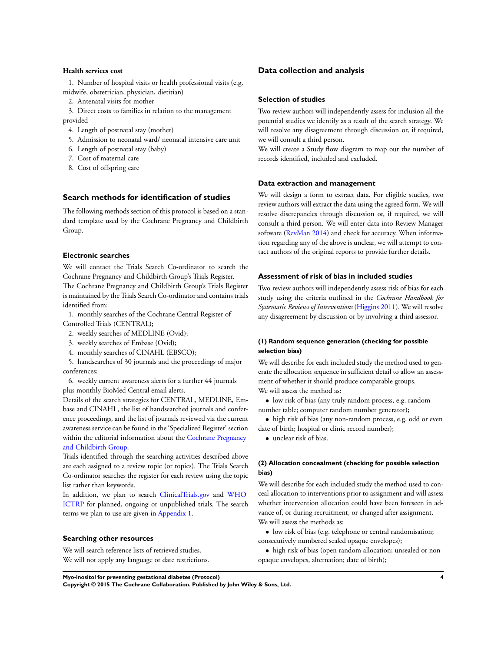#### **Health services cost**

1. Number of hospital visits or health professional visits (e.g. midwife, obstetrician, physician, dietitian)

2. Antenatal visits for mother

3. Direct costs to families in relation to the management provided

- 4. Length of postnatal stay (mother)
- 5. Admission to neonatal ward/ neonatal intensive care unit
- 6. Length of postnatal stay (baby)
- 7. Cost of maternal care
- 8. Cost of offspring care

#### **Search methods for identification of studies**

The following methods section of this protocol is based on a standard template used by the Cochrane Pregnancy and Childbirth Group.

#### **Electronic searches**

We will contact the Trials Search Co-ordinator to search the Cochrane Pregnancy and Childbirth Group's Trials Register. The Cochrane Pregnancy and Childbirth Group's Trials Register is maintained by the Trials Search Co-ordinator and contains trials identified from:

1. monthly searches of the Cochrane Central Register of Controlled Trials (CENTRAL);

- 2. weekly searches of MEDLINE (Ovid);
- 3. weekly searches of Embase (Ovid);
- 4. monthly searches of CINAHL (EBSCO);

5. handsearches of 30 journals and the proceedings of major conferences;

6. weekly current awareness alerts for a further 44 journals plus monthly BioMed Central email alerts.

Details of the search strategies for CENTRAL, MEDLINE, Embase and CINAHL, the list of handsearched journals and conference proceedings, and the list of journals reviewed via the current awareness service can be found in the 'Specialized Register' section within the editorial information about the [Cochrane Pregnancy](http://www.mrw.interscience.wiley.com/cochrane/clabout/articles/PREG/frame.html) [and Childbirth Group](http://www.mrw.interscience.wiley.com/cochrane/clabout/articles/PREG/frame.html).

Trials identified through the searching activities described above are each assigned to a review topic (or topics). The Trials Search Co-ordinator searches the register for each review using the topic list rather than keywords.

In addition, we plan to search [ClinicalTrials.gov](https://clinicaltrials.gov/) and [WHO](http://apps.who.int/trialsearch/) [ICTRP](http://apps.who.int/trialsearch/) for planned, ongoing or unpublished trials. The search terms we plan to use are given in [Appendix 1](#page-11-0).

## **Searching other resources**

We will search reference lists of retrieved studies. We will not apply any language or date restrictions.

## **Data collection and analysis**

#### **Selection of studies**

Two review authors will independently assess for inclusion all the potential studies we identify as a result of the search strategy. We will resolve any disagreement through discussion or, if required, we will consult a third person.

We will create a Study flow diagram to map out the number of records identified, included and excluded.

#### **Data extraction and management**

We will design a form to extract data. For eligible studies, two review authors will extract the data using the agreed form. We will resolve discrepancies through discussion or, if required, we will consult a third person. We will enter data into Review Manager software ([RevMan 2014\)](#page-9-0) and check for accuracy. When information regarding any of the above is unclear, we will attempt to contact authors of the original reports to provide further details.

#### **Assessment of risk of bias in included studies**

Two review authors will independently assess risk of bias for each study using the criteria outlined in the *Cochrane Handbook for Systematic Reviews of Interventions* ([Higgins 2011](#page-9-0)). We will resolve any disagreement by discussion or by involving a third assessor.

## **(1) Random sequence generation (checking for possible selection bias)**

We will describe for each included study the method used to generate the allocation sequence in sufficient detail to allow an assessment of whether it should produce comparable groups. We will assess the method as:

• low risk of bias (any truly random process, e.g. random number table; computer random number generator);

• high risk of bias (any non-random process, e.g. odd or even date of birth; hospital or clinic record number);

• unclear risk of bias.

#### **(2) Allocation concealment (checking for possible selection bias)**

We will describe for each included study the method used to conceal allocation to interventions prior to assignment and will assess whether intervention allocation could have been foreseen in advance of, or during recruitment, or changed after assignment. We will assess the methods as:

• low risk of bias (e.g. telephone or central randomisation; consecutively numbered sealed opaque envelopes);

• high risk of bias (open random allocation; unsealed or nonopaque envelopes, alternation; date of birth);

**Myo-inositol for preventing gestational diabetes (Protocol) 4**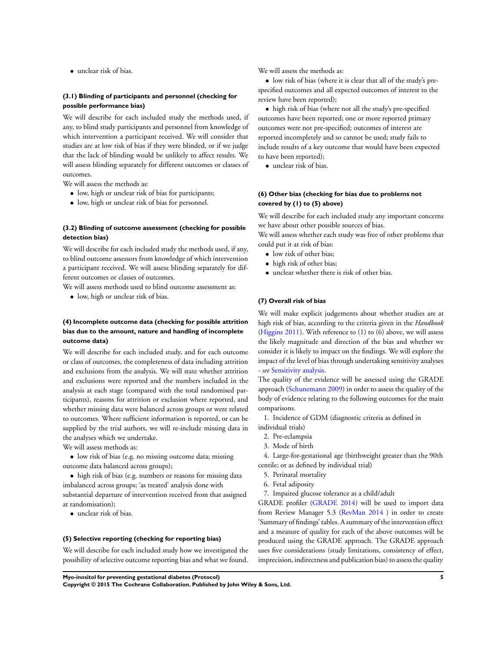• unclear risk of bias.

#### **(3.1) Blinding of participants and personnel (checking for possible performance bias)**

We will describe for each included study the methods used, if any, to blind study participants and personnel from knowledge of which intervention a participant received. We will consider that studies are at low risk of bias if they were blinded, or if we judge that the lack of blinding would be unlikely to affect results. We will assess blinding separately for different outcomes or classes of outcomes.

We will assess the methods as:

- low, high or unclear risk of bias for participants;
- low, high or unclear risk of bias for personnel.

## **(3.2) Blinding of outcome assessment (checking for possible detection bias)**

We will describe for each included study the methods used, if any, to blind outcome assessors from knowledge of which intervention a participant received. We will assess blinding separately for different outcomes or classes of outcomes.

We will assess methods used to blind outcome assessment as:

• low, high or unclear risk of bias.

## **(4) Incomplete outcome data (checking for possible attrition bias due to the amount, nature and handling of incomplete outcome data)**

We will describe for each included study, and for each outcome or class of outcomes, the completeness of data including attrition and exclusions from the analysis. We will state whether attrition and exclusions were reported and the numbers included in the analysis at each stage (compared with the total randomised participants), reasons for attrition or exclusion where reported, and whether missing data were balanced across groups or were related to outcomes. Where sufficient information is reported, or can be supplied by the trial authors, we will re-include missing data in the analyses which we undertake.

We will assess methods as:

• low risk of bias (e.g. no missing outcome data; missing outcome data balanced across groups);

• high risk of bias (e.g. numbers or reasons for missing data imbalanced across groups; 'as treated' analysis done with substantial departure of intervention received from that assigned at randomisation);

• unclear risk of bias.

## **(5) Selective reporting (checking for reporting bias)**

We will describe for each included study how we investigated the possibility of selective outcome reporting bias and what we found. We will assess the methods as:

• low risk of bias (where it is clear that all of the study's prespecified outcomes and all expected outcomes of interest to the review have been reported);

• high risk of bias (where not all the study's pre-specified outcomes have been reported; one or more reported primary outcomes were not pre-specified; outcomes of interest are reported incompletely and so cannot be used; study fails to include results of a key outcome that would have been expected to have been reported);

• unclear risk of bias.

## **(6) Other bias (checking for bias due to problems not covered by (1) to (5) above)**

We will describe for each included study any important concerns we have about other possible sources of bias.

We will assess whether each study was free of other problems that could put it at risk of bias:

- low risk of other bias;
- high risk of other bias;
- unclear whether there is risk of other bias.

#### **(7) Overall risk of bias**

We will make explicit judgements about whether studies are at high risk of bias, according to the criteria given in the *Handbook* [\(Higgins 2011\)](#page-9-0). With reference to (1) to (6) above, we will assess the likely magnitude and direction of the bias and whether we consider it is likely to impact on the findings. We will explore the impact of the level of bias through undertaking sensitivity analyses - *see* [Sensitivity analysis](#page-3-0).

The quality of the evidence will be assessed using the GRADE approach ([Schunemann 2009\)](#page-9-0) in order to assess the quality of the body of evidence relating to the following outcomes for the main comparisons.

1. Incidence of GDM (diagnostic criteria as defined in individual trials)

- 2. Pre-eclampsia
- 3. Mode of birth

4. Large-for-gestational age (birthweight greater than the 90th centile; or as defined by individual trial)

- 5. Perinatal mortality
- 6. Fetal adiposity
- 7. Impaired glucose tolerance as a child/adult

GRADE profiler [\(GRADE 2014](#page-9-0)) will be used to import data from Review Manager 5.3 [\(RevMan 2014](#page-9-0) ) in order to create 'Summary of findings' tables. A summary of the intervention effect and a measure of quality for each of the above outcomes will be produced using the GRADE approach. The GRADE approach uses five considerations (study limitations, consistency of effect, imprecision, indirectness and publication bias) to assess the quality

**Myo-inositol for preventing gestational diabetes (Protocol) 5**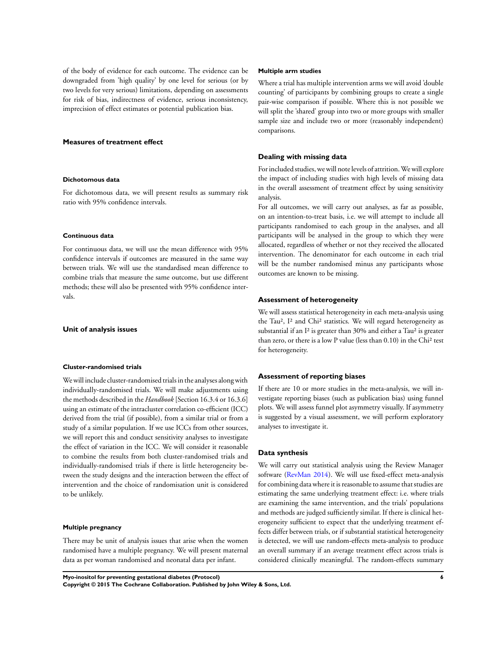of the body of evidence for each outcome. The evidence can be downgraded from 'high quality' by one level for serious (or by two levels for very serious) limitations, depending on assessments for risk of bias, indirectness of evidence, serious inconsistency, imprecision of effect estimates or potential publication bias.

#### **Measures of treatment effect**

#### **Dichotomous data**

For dichotomous data, we will present results as summary risk ratio with 95% confidence intervals.

#### **Continuous data**

For continuous data, we will use the mean difference with 95% confidence intervals if outcomes are measured in the same way between trials. We will use the standardised mean difference to combine trials that measure the same outcome, but use different methods; these will also be presented with 95% confidence intervals.

#### **Unit of analysis issues**

#### **Cluster-randomised trials**

We will include cluster-randomised trials in the analyses along with individually-randomised trials. We will make adjustments using the methods described in the *Handbook* [Section 16.3.4 or 16.3.6] using an estimate of the intracluster correlation co-efficient (ICC) derived from the trial (if possible), from a similar trial or from a study of a similar population. If we use ICCs from other sources, we will report this and conduct sensitivity analyses to investigate the effect of variation in the ICC. We will consider it reasonable to combine the results from both cluster-randomised trials and individually-randomised trials if there is little heterogeneity between the study designs and the interaction between the effect of intervention and the choice of randomisation unit is considered to be unlikely.

#### **Multiple pregnancy**

There may be unit of analysis issues that arise when the women randomised have a multiple pregnancy. We will present maternal data as per woman randomised and neonatal data per infant.

#### **Multiple arm studies**

Where a trial has multiple intervention arms we will avoid 'double counting' of participants by combining groups to create a single pair-wise comparison if possible. Where this is not possible we will split the 'shared' group into two or more groups with smaller sample size and include two or more (reasonably independent) comparisons.

#### **Dealing with missing data**

For included studies, we will note levels of attrition.We will explore the impact of including studies with high levels of missing data in the overall assessment of treatment effect by using sensitivity analysis.

For all outcomes, we will carry out analyses, as far as possible, on an intention-to-treat basis, i.e. we will attempt to include all participants randomised to each group in the analyses, and all participants will be analysed in the group to which they were allocated, regardless of whether or not they received the allocated intervention. The denominator for each outcome in each trial will be the number randomised minus any participants whose outcomes are known to be missing.

#### **Assessment of heterogeneity**

We will assess statistical heterogeneity in each meta-analysis using the Tau², I² and Chi² statistics. We will regard heterogeneity as substantial if an I² is greater than 30% and either a Tau² is greater than zero, or there is a low P value (less than 0.10) in the Chi² test for heterogeneity.

#### **Assessment of reporting biases**

If there are 10 or more studies in the meta-analysis, we will investigate reporting biases (such as publication bias) using funnel plots. We will assess funnel plot asymmetry visually. If asymmetry is suggested by a visual assessment, we will perform exploratory analyses to investigate it.

#### **Data synthesis**

We will carry out statistical analysis using the Review Manager software ([RevMan 2014](#page-9-0)). We will use fixed-effect meta-analysis for combining data where it is reasonable to assume that studies are estimating the same underlying treatment effect: i.e. where trials are examining the same intervention, and the trials' populations and methods are judged sufficiently similar. If there is clinical heterogeneity sufficient to expect that the underlying treatment effects differ between trials, or if substantial statistical heterogeneity is detected, we will use random-effects meta-analysis to produce an overall summary if an average treatment effect across trials is considered clinically meaningful. The random-effects summary

**Myo-inositol for preventing gestational diabetes (Protocol) 6**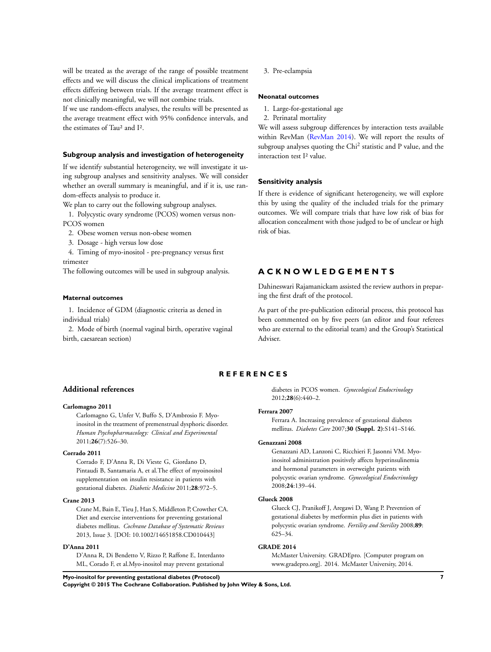<span id="page-9-0"></span>will be treated as the average of the range of possible treatment effects and we will discuss the clinical implications of treatment effects differing between trials. If the average treatment effect is not clinically meaningful, we will not combine trials.

If we use random-effects analyses, the results will be presented as the average treatment effect with 95% confidence intervals, and the estimates of Tau² and I².

### **Subgroup analysis and investigation of heterogeneity**

If we identify substantial heterogeneity, we will investigate it using subgroup analyses and sensitivity analyses. We will consider whether an overall summary is meaningful, and if it is, use random-effects analysis to produce it.

We plan to carry out the following subgroup analyses.

1. Polycystic ovary syndrome (PCOS) women versus non-PCOS women

- 2. Obese women versus non-obese women
- 3. Dosage high versus low dose
- 4. Timing of myo-inositol pre-pregnancy versus first trimester

The following outcomes will be used in subgroup analysis.

#### **Maternal outcomes**

1. Incidence of GDM (diagnostic criteria as dened in individual trials)

2. Mode of birth (normal vaginal birth, operative vaginal birth, caesarean section)

#### 3. Pre-eclampsia

## **Neonatal outcomes**

1. Large-for-gestational age

2. Perinatal mortality

We will assess subgroup differences by interaction tests available within RevMan (RevMan 2014). We will report the results of subgroup analyses quoting the Chi<sup>2</sup> statistic and P value, and the interaction test I² value.

#### **Sensitivity analysis**

If there is evidence of significant heterogeneity, we will explore this by using the quality of the included trials for the primary outcomes. We will compare trials that have low risk of bias for allocation concealment with those judged to be of unclear or high risk of bias.

## **A C K N O W L E D G E M E N T S**

Dahineswari Rajamanickam assisted the review authors in preparing the first draft of the protocol.

As part of the pre-publication editorial process, this protocol has been commented on by five peers (an editor and four referees who are external to the editorial team) and the Group's Statistical Adviser.

#### **R E F E R E N C E S**

#### **Additional references**

#### **Carlomagno 2011**

Carlomagno G, Unfer V, Buffo S, D'Ambrosio F. Myoinositol in the treatment of premenstrual dysphoric disorder. *Human Psychopharmacology: Clinical and Experimental* 2011;**26**(7):526–30.

#### **Corrado 2011**

Corrado F, D'Anna R, Di Vieste G, Giordano D, Pintaudi B, Santamaria A, et al.The effect of myoinositol supplementation on insulin resistance in patients with gestational diabetes. *Diabetic Medicine* 2011;**28**:972–5.

#### **Crane 2013**

Crane M, Bain E, Tieu J, Han S, Middleton P, Crowther CA. Diet and exercise interventions for preventing gestational diabetes mellitus. *Cochrane Database of Systematic Reviews* 2013, Issue 3. [DOI: 10.1002/14651858.CD010443]

#### **D'Anna 2011**

D'Anna R, Di Bendetto V, Rizzo P, Raffone E, Interdanto ML, Corado F, et al.Myo-inositol may prevent gestational

diabetes in PCOS women. *Gynecological Endocrinology* 2012;**28**(6):440–2.

#### **Ferrara 2007**

Ferrara A. Increasing prevalence of gestational diabetes mellitus. *Diabetes Care* 2007;**30 (Suppl. 2)**:S141–S146.

#### **Genazzani 2008**

Genazzani AD, Lanzoni C, Ricchieri F, Jasonni VM. Myoinositol administration positively affects hyperinsulinemia and hormonal parameters in overweight patients with polycystic ovarian syndrome. *Gynecological Endocrinology* 2008;**24**:139–44.

#### **Glueck 2008**

Glueck CJ, Pranikoff J, Aregawi D, Wang P. Prevention of gestational diabetes by metformin plus diet in patients with polycystic ovarian syndrome. *Fertility and Sterility* 2008;**89**: 625–34.

#### **GRADE 2014**

McMaster University. GRADEpro. [Computer program on www.gradepro.org]. 2014. McMaster University, 2014.

**Myo-inositol for preventing gestational diabetes (Protocol) 7**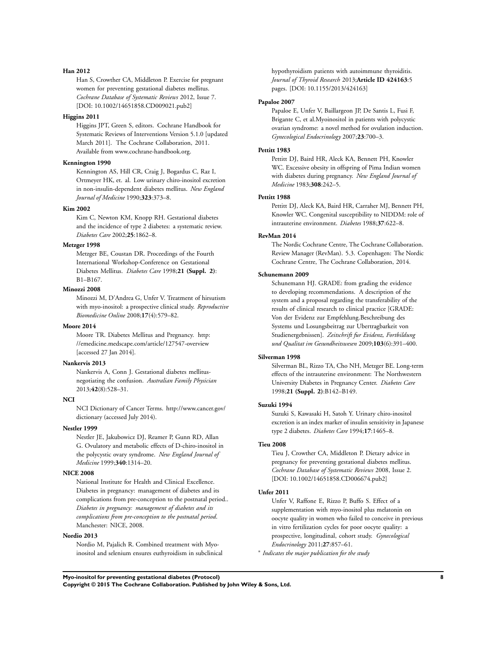#### **Han 2012**

Han S, Crowther CA, Middleton P. Exercise for pregnant women for preventing gestational diabetes mellitus. *Cochrane Database of Systematic Reviews* 2012, Issue 7. [DOI: 10.1002/14651858.CD009021.pub2]

## **Higgins 2011**

Higgins JPT, Green S, editors. Cochrane Handbook for Systematic Reviews of Interventions Version 5.1.0 [updated March 2011]. The Cochrane Collaboration, 2011. Available from www.cochrane-handbook.org.

#### **Kennington 1990**

Kennington AS, Hill CR, Craig J, Bogardus C, Raz I, Ortmeyer HK, et. al. Low urinary chiro-inositol excretion in non-insulin-dependent diabetes mellitus. *New England Journal of Medicine* 1990;**323**:373–8.

#### **Kim 2002**

Kim C, Newton KM, Knopp RH. Gestational diabetes and the incidence of type 2 diabetes: a systematic review. *Diabetes Care* 2002;**25**:1862–8.

#### **Metzger 1998**

Metzger BE, Coustan DR. Proceedings of the Fourth International Workshop-Conference on Gestational Diabetes Mellitus. *Diabetes Care* 1998;**21 (Suppl. 2)**: B1–B167.

#### **Minozzi 2008**

Minozzi M, D'Andrea G, Unfer V. Treatment of hirsutism with myo-inositol: a prospective clinical study. *Reproductive Biomedicine Online* 2008;**17**(4):579–82.

#### **Moore 2014**

Moore TR. Diabetes Mellitus and Pregnancy. http: //emedicine.medscape.com/article/127547-overview [accessed 27 Jan 2014].

#### **Nankervis 2013**

Nankervis A, Conn J. Gestational diabetes mellitusnegotiating the confusion. *Australian Family Physician* 2013;**42**(8):528–31.

#### **NCI**

NCI Dictionary of Cancer Terms. http://www.cancer.gov/ dictionary (accessed July 2014).

#### **Nestler 1999**

Nestler JE, Jakubowicz DJ, Reamer P, Gunn RD, Allan G. Ovulatory and metabolic effects of D-chiro-inositol in the polycystic ovary syndrome. *New England Journal of Medicine* 1999;**340**:1314–20.

#### **NICE 2008**

National Institute for Health and Clinical Excellence. Diabetes in pregnancy: management of diabetes and its complications from pre-conception to the postnatal period.. *Diabetes in pregnancy: management of diabetes and its complications from pre-conception to the postnatal period*. Manchester: NICE, 2008.

#### **Nordio 2013**

Nordio M, Pajalich R. Combined treatment with Myoinositol and selenium ensures euthyroidism in subclinical hypothyroidism patients with autoimmune thyroiditis. *Journal of Thyroid Research* 2013;**Article ID 424163**:5 pages. [DOI: 10.1155/2013/424163]

#### **Papaloe 2007**

Papaloe E, Unfer V, Baillargeon JP, De Santis L, Fusi F, Brigante C, et al.Myoinositol in patients with polycystic ovarian syndrome: a novel method for ovulation induction. *Gynecological Endocrinology* 2007;**23**:700–3.

#### **Pettitt 1983**

Pettitt DJ, Baird HR, Aleck KA, Bennett PH, Knowler WC. Excessive obesity in offspring of Pima Indian women with diabetes during pregnancy. *New England Journal of Medicine* 1983;**308**:242–5.

#### **Pettitt 1988**

Pettitt DJ, Aleck KA, Baird HR, Carraher MJ, Bennett PH, Knowler WC. Congenital susceptibility to NIDDM: role of intrauterine environment. *Diabetes* 1988;**37**:622–8.

#### **RevMan 2014**

The Nordic Cochrane Centre, The Cochrane Collaboration. Review Manager (RevMan). 5.3. Copenhagen: The Nordic Cochrane Centre, The Cochrane Collaboration, 2014.

#### **Schunemann 2009**

Schunemann HJ. GRADE: from grading the evidence to developing recommendations. A description of the system and a proposal regarding the transferability of the results of clinical research to clinical practice [GRADE: Von der Evidenz zur Empfehlung.Beschreibung des Systems und Losungsbeitrag zur Ubertragbarkeit von Studienergebnissen]. *Zeitschrift fur Evidenz, Fortbildung und Qualitat im Gesundheitswesen* 2009;**103**(6):391–400.

#### **Silverman 1998**

Silverman BL, Rizzo TA, Cho NH, Metzger BE. Long-term effects of the intrauterine environment: The Northwestern University Diabetes in Pregnancy Center. *Diabetes Care* 1998;**21 (Suppl. 2)**:B142–B149.

#### **Suzuki 1994**

Suzuki S, Kawasaki H, Satoh Y. Urinary chiro-inositol excretion is an index marker of insulin sensitivity in Japanese type 2 diabetes. *Diabetes Care* 1994;**17**:1465–8.

#### **Tieu 2008**

Tieu J, Crowther CA, Middleton P. Dietary advice in pregnancy for preventing gestational diabetes mellitus. *Cochrane Database of Systematic Reviews* 2008, Issue 2. [DOI: 10.1002/14651858.CD006674.pub2]

#### **Unfer 2011**

Unfer V, Raffone E, Rizzo P, Buffo S. Effect of a supplementation with myo-inositol plus melatonin on oocyte quality in women who failed to conceive in previous in vitro fertilization cycles for poor oocyte quality: a prospective, longitudinal, cohort study. *Gynecological Endocrinology* 2011;**27**:857–61.

∗ *Indicates the major publication for the study*

## **Myo-inositol for preventing gestational diabetes (Protocol) 8**